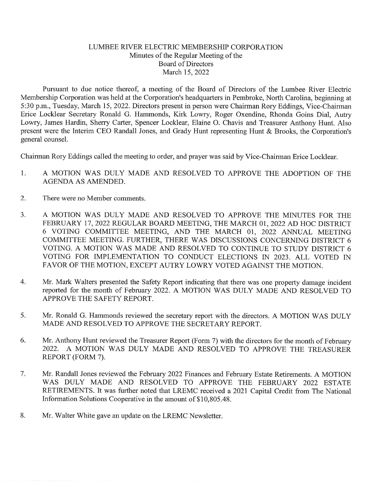## LUMBEE RIVER ELECTRIC MEMBERSHIP CORPORATION Minutes of the Regular Meeting of the Board of Directors March 15, 2022

Pursuant to due notice thereof, a meeting of the Board of Directors of the Lumbee River Electric Membership Corporation was held at the Corporation's headquarters in Pembroke, North Carolina, beginning at 5:30 p.m., Tuesday, March 15, 2022. Directors present in person were Chairman Rory Eddings, Vice-Chairman Erice Locklear Secretary Ronald G. Hammonds, Kirk Lowry, Roger Oxendine, Rhonda Goins Dial, Autry Lowry, James Hardin, Sherry Carter, Spencer Locklear, Elaine O. Chavis and Treasurer Anthony Hunt. Also present were the Interim CEO Randall Jones, and Grady Hunt representing Hunt & Brooks, the Corporation's general counsel.

Chairman Rory Eddings called the meeting to order, and prayer was said by Vice-Chairman Erice Locklear.

- 1. A MOTION WAS DULY MADE AND RESOLVED TO APPROVE THE ADOPTION OF THE AGENDA AS AMENDED.
- 2. There were no Member comments.
- 3. A MOTION WAS DULY MADE AND RESOLVED TO APPROVE THE MINUTES FOR THE FEBRUARY 17, 2022 REGULAR BOARD MEETING, THE MARCH 01, 2022 AD HOC DISTRICT 6 VOTING COMMITTEE MEETING, AND THE MARCH 01, 2022 ANNUAL MEETING COMMITTEE MEETING. FURTHER, THERE WAS DISCUSSIONS CONCERNING DISTRICT 6 VOTING. A MOTION WAS MADE AND RESOLVED TO CONTINUE TO STUDY DISTRICT 6 VOTING FOR IMPLEMENTATION TO CONDUCT ELECTIONS IN 2023. ALL VOTED IN FAVOR OF THE MOTION, EXCEPT AUTRY LOWRY VOTED AGAINST THE MOTION.
- 4. Mr. Mark Walters presented the Safety Report indicating that there was one property damage incident reported for the month of February 2022. A MOTION WAS DULY MADE AND RESOLVED TO APPROVE THE SAFETY REPORT.
- 5. Mr. Ronald G. Harnmonds reviewed the secretary report with the directors. A MOTION WAS DULY MADE AND RESOLVED TO APPROVE THE SECRETARY REPORT.
- 6. Mr. Anthony Hunt reviewed the Treasurer Report (Form 7) with the directors for the month of February 2022. A MOTION WAS DULY MADE AND RESOLVED TO APPROVE THE TREASURER REPORT (FORM 7).
- 7. Mr. Randall Jones reviewed the February 2022 Finances and February Estate Retirements. A MOTION WAS DULY MADE AND RESOLVED TO APPROVE THE FEBRUARY 2022 ESTATE RETIREMENTS. It was further noted that LREMC received a 2021 Capital Credit from The National Information Solutions Cooperative in the amount of \$10,805.48.
- 8. Mr. Walter White gave an update on the LREMC Newsletter.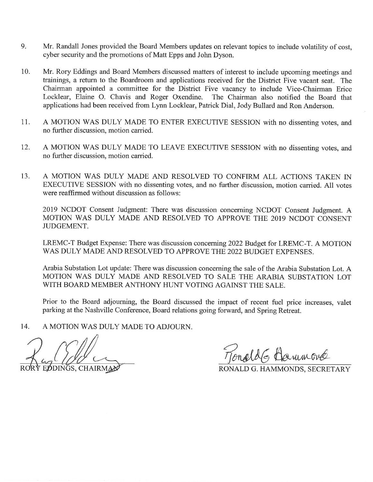- 9. Mr. Randall Jones provided the Board Members updates on relevant topics to include volatility of cost, cyber security and the promotions of Matt Epps and John Dyson.
- 10. Mr. Rory Eddings and Board Members discussed matters of interest to include upcoming meetings and trainings, a return to the Boardroom and applications received for the District Five vacant seat. The Chairman appointed a committee for the District Five vacancy to include Vice-Chairman Erice<br>Locklear, Elaine O. Chavis and Roger Oxendine. The Chairman also notified the Board that Locklear, Elaine O. Chavis and Roger Oxendine. applications had been received from Lynn Locklear, Patrick Dial, Jody Bullard and Ron Anderson.
- 11. A MOTION WAS DULY MADE TO ENTER EXECUTIVE SESSION with no dissenting votes, and no further discussion, motion carried.
- 12. A MOTION WAS DULY MADE TO LEAVE EXECUTIVE SESSION with no dissenting votes, and no further discussion, motion carried.
- 13. A MOTION WAS DULY MADE AND RESOLVED TO CONFIRM ALL ACTIONS TAKEN IN EXECUTIVE SESSION with no dissenting votes, and no further discussion, motion carried. All votes were reaffirmed without discussion as follows:

2019 NCDOT Consent Judgment: There was discussion concerning NCDOT Consent Judgment. A MOTION WAS DULY MADE AND RESOLVED TO APPROVE THE 2019 NCDOT CONSENT JUDGEMENT.

LREMC-T Budget Expense: There was discussion concerning 2022 Budget for LREMC-T. A MOTION WAS DULY MADE AND RESOLVED TO APPROVE THE 2022 BUDGET EXPENSES.

Arabia Substation Lot update: There was discussion concerning the sale of the Arabia Substation Lot. A MOTION WAS DULY MADE AND RESOLVED TO SALE THE ARABIA SUBSTATION LOT WITH BOARD MEMBER ANTHONY HUNT VOTING AGAINST THE SALE.

Prior to the Board adjourning, the Board discussed the impact of recent fuel price increases, valet parking at the Nashville Conference, Board relations going forward, and Spring Retreat.

14. A MOTION WAS DULY MADE TO ADJOURN.

EPOINGS, CHAIRMAN FONALD G. HAMMONDS, SECRETARY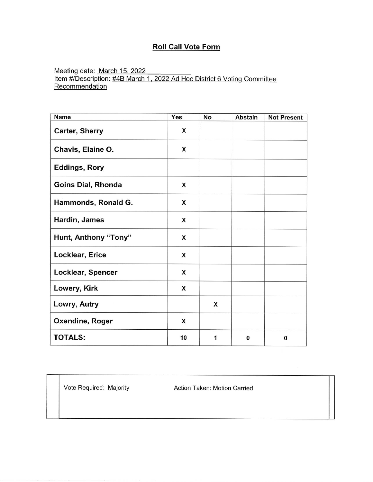## Roll Call Vote Form

Meeting date: <u>March 15, 202</u> Item #/Description: #4B March 1, 2022 Ad Hoc District 6 Voting Committ <u>Recommenda</u>

| <b>Name</b>           | Yes | No | <b>Abstain</b> | <b>Not Present</b> |
|-----------------------|-----|----|----------------|--------------------|
| <b>Carter, Sherry</b> | X   |    |                |                    |
| Chavis, Elaine O.     | X   |    |                |                    |
| <b>Eddings, Rory</b>  |     |    |                |                    |
| Goins Dial, Rhonda    | X   |    |                |                    |
| Hammonds, Ronald G.   | X   |    |                |                    |
| Hardin, James         | X   |    |                |                    |
| Hunt, Anthony "Tony"  | X   |    |                |                    |
| Locklear, Erice       | X   |    |                |                    |
| Locklear, Spencer     | X   |    |                |                    |
| Lowery, Kirk          | X   |    |                |                    |
| Lowry, Autry          |     | X  |                |                    |
| Oxendine, Roger       | X   |    |                |                    |
| <b>TOTALS:</b>        | 10  | 1  | $\bf{0}$       | 0                  |

Vote Required: Majority Action Taken: Motion Carried